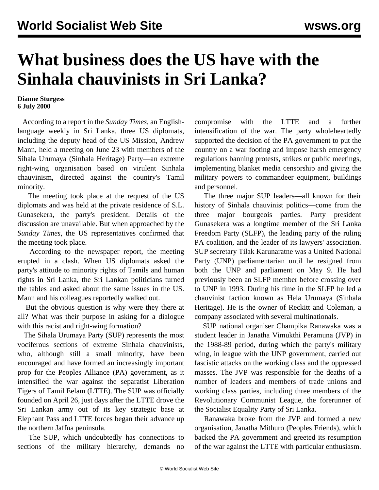## **What business does the US have with the Sinhala chauvinists in Sri Lanka?**

## **Dianne Sturgess 6 July 2000**

 According to a report in the *Sunday Times*, an Englishlanguage weekly in Sri Lanka, three US diplomats, including the deputy head of the US Mission, Andrew Mann, held a meeting on June 23 with members of the Sihala Urumaya (Sinhala Heritage) Party—an extreme right-wing organisation based on virulent Sinhala chauvinism, directed against the country's Tamil minority.

 The meeting took place at the request of the US diplomats and was held at the private residence of S.L. Gunasekera, the party's president. Details of the discussion are unavailable. But when approached by the *Sunday Times*, the US representatives confirmed that the meeting took place.

 According to the newspaper report, the meeting erupted in a clash. When US diplomats asked the party's attitude to minority rights of Tamils and human rights in Sri Lanka, the Sri Lankan politicians turned the tables and asked about the same issues in the US. Mann and his colleagues reportedly walked out.

 But the obvious question is why were they there at all? What was their purpose in asking for a dialogue with this racist and right-wing formation?

 The Sihala Urumaya Party (SUP) represents the most vociferous sections of extreme Sinhala chauvinists, who, although still a small minority, have been encouraged and have formed an increasingly important prop for the Peoples Alliance (PA) government, as it intensified the war against the separatist Liberation Tigers of Tamil Eelam (LTTE). The SUP was officially founded on April 26, just days after the LTTE drove the Sri Lankan army out of its key strategic base at Elephant Pass and LTTE forces began their advance up the northern Jaffna peninsula.

 The SUP, which undoubtedly has connections to sections of the military hierarchy, demands no compromise with the LTTE and a further intensification of the war. The party wholeheartedly supported the decision of the PA government to put the country on a war footing and impose harsh emergency regulations banning protests, strikes or public meetings, implementing blanket media censorship and giving the military powers to commandeer equipment, buildings and personnel.

 The three major SUP leaders—all known for their history of Sinhala chauvinist politics—come from the three major bourgeois parties. Party president Gunasekera was a longtime member of the Sri Lanka Freedom Party (SLFP), the leading party of the ruling PA coalition, and the leader of its lawyers' association. SUP secretary Tilak Karunaratne was a United National Party (UNP) parliamentarian until he resigned from both the UNP and parliament on May 9. He had previously been an SLFP member before crossing over to UNP in 1993. During his time in the SLFP he led a chauvinist faction known as Hela Urumaya (Sinhala Heritage). He is the owner of Reckitt and Coleman, a company associated with several multinationals.

 SUP national organiser Champika Ranawaka was a student leader in Janatha Vimukthi Peramuna (JVP) in the 1988-89 period, during which the party's military wing, in league with the UNP government, carried out fascistic attacks on the working class and the oppressed masses. The JVP was responsible for the deaths of a number of leaders and members of trade unions and working class parties, including three members of the Revolutionary Communist League, the forerunner of the Socialist Equality Party of Sri Lanka.

 Ranawaka broke from the JVP and formed a new organisation, Janatha Mithuro (Peoples Friends), which backed the PA government and greeted its resumption of the war against the LTTE with particular enthusiasm.